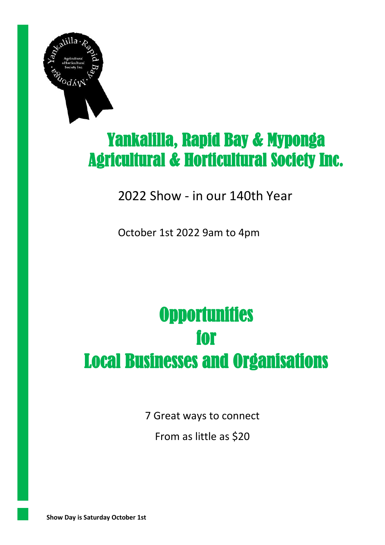

# Yankalilla, Rapid Bay & Myponga Agricultural & Horticultural Society Inc.

## 2022 Show - in our 140th Year

October 1st 2022 9am to 4pm

# **Opportunities** for Local Businesses and Organisations

7 Great ways to connect

From as little as \$20

**Show Day is Saturday October 1st**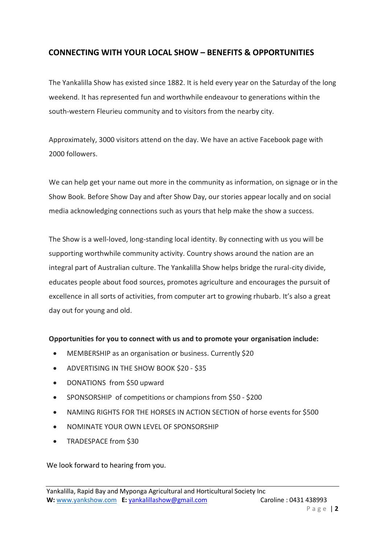#### **CONNECTING WITH YOUR LOCAL SHOW – BENEFITS & OPPORTUNITIES**

The Yankalilla Show has existed since 1882. It is held every year on the Saturday of the long weekend. It has represented fun and worthwhile endeavour to generations within the south-western Fleurieu community and to visitors from the nearby city.

Approximately, 3000 visitors attend on the day. We have an active Facebook page with 2000 followers.

We can help get your name out more in the community as information, on signage or in the Show Book. Before Show Day and after Show Day, our stories appear locally and on social media acknowledging connections such as yours that help make the show a success.

The Show is a well-loved, long-standing local identity. By connecting with us you will be supporting worthwhile community activity. Country shows around the nation are an integral part of Australian culture. The Yankalilla Show helps bridge the rural-city divide, educates people about food sources, promotes agriculture and encourages the pursuit of excellence in all sorts of activities, from computer art to growing rhubarb. It's also a great day out for young and old.

#### **Opportunities for you to connect with us and to promote your organisation include:**

- MEMBERSHIP as an organisation or business. Currently \$20
- ADVERTISING IN THE SHOW BOOK \$20 \$35
- DONATIONS from \$50 upward
- SPONSORSHIP of competitions or champions from \$50 \$200
- NAMING RIGHTS FOR THE HORSES IN ACTION SECTION of horse events for \$500
- NOMINATE YOUR OWN LEVEL OF SPONSORSHIP
- TRADESPACE from \$30

We look forward to hearing from you.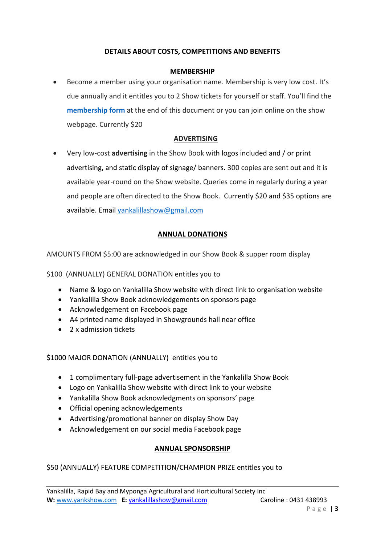#### **DETAILS ABOUT COSTS, COMPETITIONS AND BENEFITS**

#### **MEMBERSHIP**

• Become a member using your organisation name. Membership is very low cost. It's due annually and it entitles you to 2 Show tickets for yourself or staff. You'll find the **[membership](http://www.yankshow.com/images/Forms/membership2021.pdf) form** at the end of this document or you can join online on the show webpage. Currently \$20

#### **ADVERTISING**

• Very low-cost **advertising** in the Show Book with logos included and / or print advertising, and static display of signage/ banners. 300 copies are sent out and it is available year-round on the Show website. Queries come in regularly during a year and people are often directed to the Show Book. Currently \$20 and \$35 options are available. Email [yankalillashow@gmail.com](mailto:yankalillashow@gmail.com)

#### **ANNUAL DONATIONS**

AMOUNTS FROM \$5:00 are acknowledged in our Show Book & supper room display

\$100 (ANNUALLY) GENERAL DONATION entitles you to

- Name & logo on Yankalilla Show website with direct link to organisation website
- Yankalilla Show Book acknowledgements on sponsors page
- Acknowledgement on Facebook page
- A4 printed name displayed in Showgrounds hall near office
- 2 x admission tickets

\$1000 MAJOR DONATION (ANNUALLY) entitles you to

- 1 complimentary full-page advertisement in the Yankalilla Show Book
- Logo on Yankalilla Show website with direct link to your website
- Yankalilla Show Book acknowledgments on sponsors' page
- Official opening acknowledgements
- Advertising/promotional banner on display Show Day
- Acknowledgement on our social media Facebook page

#### **ANNUAL SPONSORSHIP**

#### \$50 (ANNUALLY) FEATURE COMPETITION/CHAMPION PRIZE entitles you to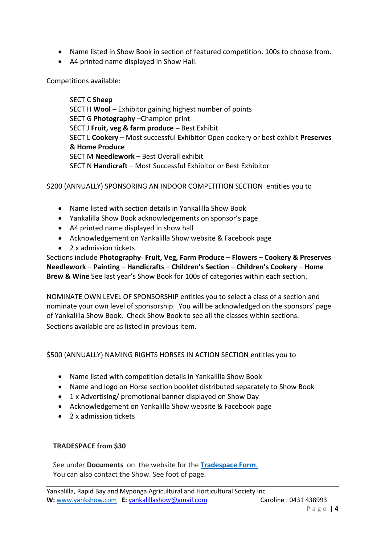- Name listed in Show Book in section of featured competition. 100s to choose from.
- A4 printed name displayed in Show Hall.

Competitions available:

SECT C **Sheep** SECT H **Wool** – Exhibitor gaining highest number of points SECT G **Photography** –Champion print SECT J **Fruit, veg & farm produce** – Best Exhibit SECT L **Cookery** – Most successful Exhibitor Open cookery or best exhibit **Preserves & Home Produce** SECT M **Needlework** – Best Overall exhibit SECT N **Handicraft** – Most Successful Exhibitor or Best Exhibitor

\$200 (ANNUALLY) SPONSORING AN INDOOR COMPETITION SECTION entitles you to

- Name listed with section details in Yankalilla Show Book
- Yankalilla Show Book acknowledgements on sponsor's page
- A4 printed name displayed in show hall
- Acknowledgement on Yankalilla Show website & Facebook page
- 2 x admission tickets

Sections include **Photography**- **Fruit, Veg, Farm Produce** – **Flowers** – **Cookery & Preserves** - **Needlework** – **Painting** – **Handicrafts** – **Children's Section** – **Children's Cookery** – **Home Brew & Wine** See last year's Show Book for 100s of categories within each section.

NOMINATE OWN LEVEL OF SPONSORSHIP entitles you to select a class of a section and nominate your own level of sponsorship. You will be acknowledged on the sponsors' page of Yankalilla Show Book. Check Show Book to see all the classes within sections. Sections available are as listed in previous item.

\$500 (ANNUALLY) NAMING RIGHTS HORSES IN ACTION SECTION entitles you to

- Name listed with competition details in Yankalilla Show Book
- Name and logo on Horse section booklet distributed separately to Show Book
- 1 x Advertising/ promotional banner displayed on Show Day
- Acknowledgement on Yankalilla Show website & Facebook page
- 2 x admission tickets

#### **TRADESPACE from \$30**

See under **Documents** on the website for the **[Tradespace Form](http://www.yankshow.com/images/Forms/yankalillaShowTradespaceForm2022.pdf)**. You can also contact the Show. See foot of page.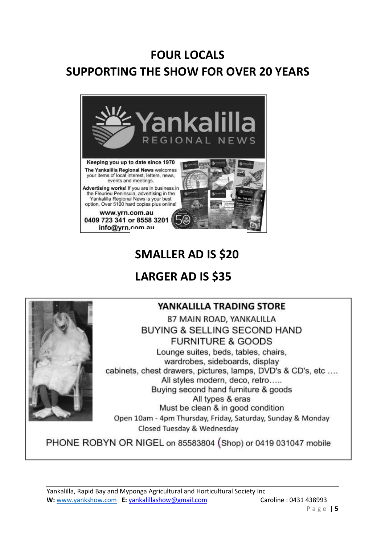# **FOUR LOCALS SUPPORTING THE SHOW FOR OVER 20 YEARS**



## **SMALLER AD IS \$20**

### **LARGER AD IS \$35**



#### YANKALILLA TRADING STORE

87 MAIN ROAD, YANKALILLA BUYING & SELLING SECOND HAND **FURNITURE & GOODS** Lounge suites, beds, tables, chairs, wardrobes, sideboards, display

cabinets, chest drawers, pictures, lamps, DVD's & CD's, etc .... All styles modern, deco, retro..... Buying second hand furniture & goods All types & eras Must be clean & in good condition Open 10am - 4pm Thursday, Friday, Saturday, Sunday & Monday

Closed Tuesday & Wednesday

PHONE ROBYN OR NIGEL on 85583804 (Shop) or 0419 031047 mobile

Yankalilla, Rapid Bay and Myponga Agricultural and Horticultural Society Inc W: [www.yankshow.com](http://www.yankshow.com.au/) **E:** [yankalillashow@gmail.com](mailto:yankalillashow@gmail.com) Caroline : 0431 438993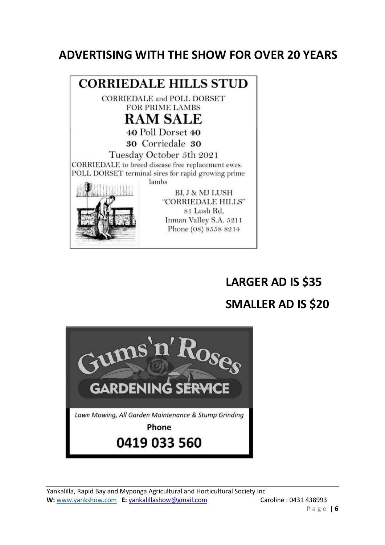### **ADVERTISING WITH THE SHOW FOR OVER 20 YEARS**



# **LARGER AD IS \$35 SMALLER AD IS \$20**